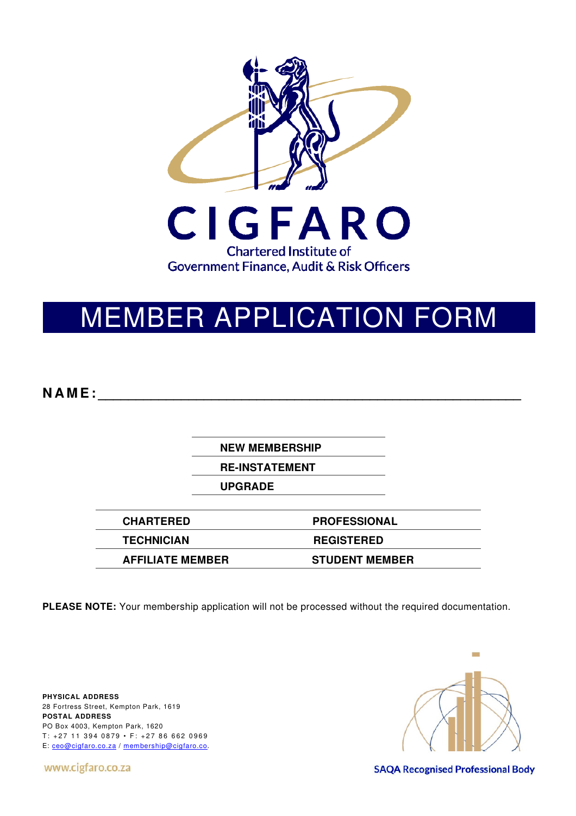

# MEMBER APPLICATION FORM

**N A M E : \_\_\_\_\_\_\_\_\_\_\_\_\_\_\_\_\_\_\_\_\_\_\_\_\_\_\_\_\_\_\_\_\_\_\_\_\_\_\_\_\_\_\_\_\_\_\_\_\_\_\_\_\_\_\_\_** 

**NEW MEMBERSHIP** 

**RE-INSTATEMENT** 

**UPGRADE** 

**CHARTERED PROFESSIONAL TECHNICIAN REGISTERED AFFILIATE MEMBER STUDENT MEMBER** 

**PLEASE NOTE:** Your membership application will not be processed without the required documentation.

**PHYSICAL ADDRESS**  28 Fortress Street, Kempton Park, 1619 **POSTAL ADDRESS**  PO Box 4003, Kempton Park, 1620  $T: +27$  11 394 0879 • F: +27 86 662 0969 E: ceo@cigfaro.co.za / membership@cigfaro.co.

www.cigfaro.co.za



**SAQA Recognised Professional Body**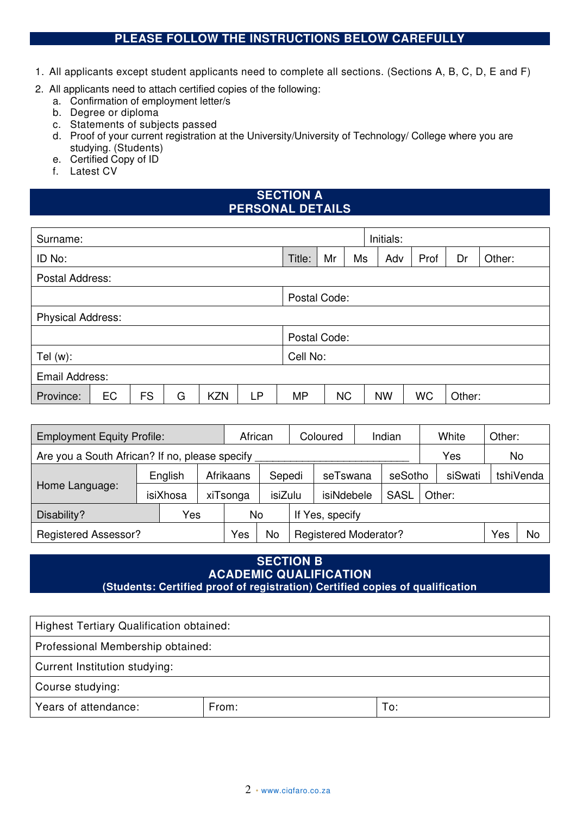## **PLEASE FOLLOW THE INSTRUCTIONS BELOW CAREFULLY**

- 1. All applicants except student applicants need to complete all sections. (Sections A, B, C, D, E and F)
- 2. All applicants need to attach certified copies of the following:
	- a. Confirmation of employment letter/s
	- b. Degree or diploma
	- c. Statements of subjects passed
	- d. Proof of your current registration at the University/University of Technology/ College where you are studying. (Students)
	- e. Certified Copy of ID
	- f. Latest CV

## **SECTION A PERSONAL DETAILS**

| Surname:                 |    |           | Initials: |            |    |           |              |    |           |           |        |        |
|--------------------------|----|-----------|-----------|------------|----|-----------|--------------|----|-----------|-----------|--------|--------|
| ID No:                   |    |           |           |            |    | Title:    | Mr           | Ms | Adv       | Prof      | Dr     | Other: |
| Postal Address:          |    |           |           |            |    |           |              |    |           |           |        |        |
|                          |    |           |           |            |    |           | Postal Code: |    |           |           |        |        |
| <b>Physical Address:</b> |    |           |           |            |    |           |              |    |           |           |        |        |
|                          |    |           |           |            |    |           | Postal Code: |    |           |           |        |        |
| Tel $(w)$ :              |    |           |           |            |    | Cell No:  |              |    |           |           |        |        |
| Email Address:           |    |           |           |            |    |           |              |    |           |           |        |        |
| Province:                | EC | <b>FS</b> | G         | <b>KZN</b> | LP | <b>MP</b> | <b>NC</b>    |    | <b>NW</b> | <b>WC</b> | Other: |        |

| <b>Employment Equity Profile:</b>              |                     |     |                                            | African<br>Coloured |                              |  | Indian          |  | White   | Other: |           |    |  |
|------------------------------------------------|---------------------|-----|--------------------------------------------|---------------------|------------------------------|--|-----------------|--|---------|--------|-----------|----|--|
| Are you a South African? If no, please specify |                     |     |                                            |                     |                              |  |                 |  |         |        | Yes       | No |  |
|                                                | English<br>isiXhosa |     | Afrikaans<br>Sepedi<br>isiZulu<br>xiTsonga |                     | seTswana                     |  | seSotho         |  | siSwati |        | tshiVenda |    |  |
| Home Language:                                 |                     |     |                                            |                     | isiNdebele                   |  | <b>SASL</b>     |  | Other:  |        |           |    |  |
| Disability?                                    |                     | Yes |                                            | No                  |                              |  | If Yes, specify |  |         |        |           |    |  |
| <b>Registered Assessor?</b>                    |                     |     | Yes                                        | No                  | <b>Registered Moderator?</b> |  |                 |  | Yes     | No     |           |    |  |

### **SECTION B ACADEMIC QUALIFICATION (Students: Certified proof of registration) Certified copies of qualification**

Highest Tertiary Qualification obtained: Professional Membership obtained:

Current Institution studying:

Course studying:

Years of attendance: The Reflexion of The Promission of The To: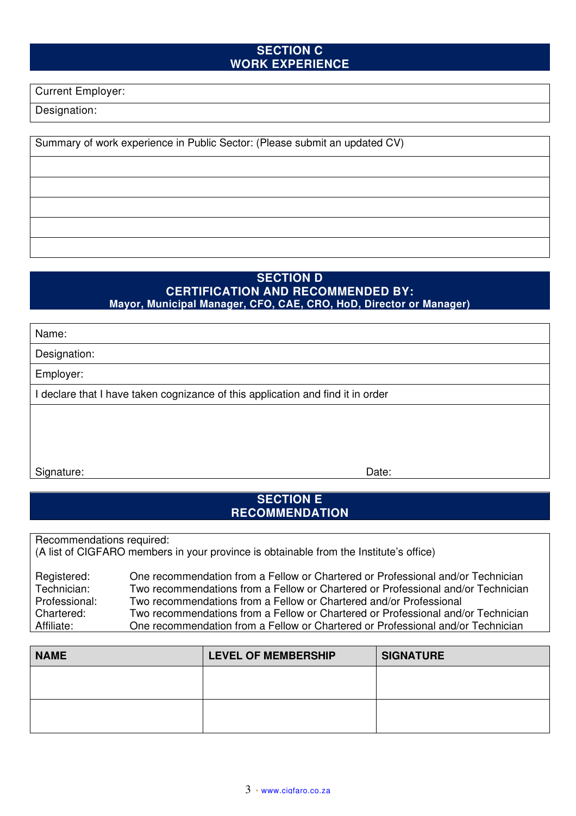## **SECTION C WORK EXPERIENCE**

Current Employer:

Designation:

Summary of work experience in Public Sector: (Please submit an updated CV)

### **SECTION D CERTIFICATION AND RECOMMENDED BY: Mayor, Municipal Manager, CFO, CAE, CRO, HoD, Director or Manager)**

Name:

Designation:

Employer:

I declare that I have taken cognizance of this application and find it in order

Signature: Date: Date: Date: Date: Date: Date: Date: Date: Date: Date: Date: Date: Date: Date: Date: Date: Date: Date: Date: Date: Date: Date: Date: Date: Date: Date: Date: Date: Date: Date: Date: Date: Date: Date: Date: D

## **SECTION E RECOMMENDATION**

Recommendations required:

(A list of CIGFARO members in your province is obtainable from the Institute's office)

| Registered:   | One recommendation from a Fellow or Chartered or Professional and/or Technician  |
|---------------|----------------------------------------------------------------------------------|
| Technician:   | Two recommendations from a Fellow or Chartered or Professional and/or Technician |
| Professional: | Two recommendations from a Fellow or Chartered and/or Professional               |
| Chartered:    | Two recommendations from a Fellow or Chartered or Professional and/or Technician |
| Affiliate:    | One recommendation from a Fellow or Chartered or Professional and/or Technician  |

| <b>NAME</b> | <b>LEVEL OF MEMBERSHIP</b> | <b>SIGNATURE</b> |
|-------------|----------------------------|------------------|
|             |                            |                  |
|             |                            |                  |
|             |                            |                  |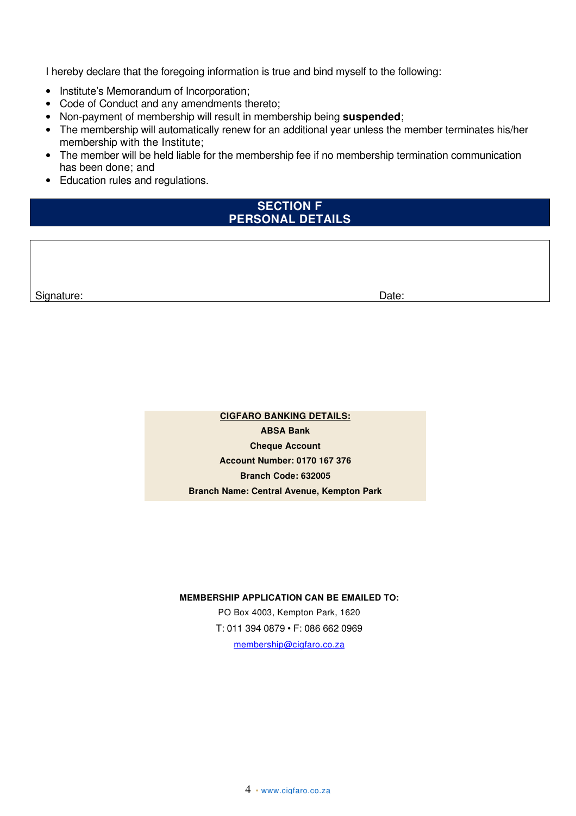I hereby declare that the foregoing information is true and bind myself to the following:

- Institute's Memorandum of Incorporation;
- Code of Conduct and any amendments thereto;
- Non-payment of membership will result in membership being **suspended**;
- The membership will automatically renew for an additional year unless the member terminates his/her membership with the Institute;
- The member will be held liable for the membership fee if no membership termination communication has been done; and
- Education rules and regulations.

### **SECTION F PERSONAL DETAILS**

Signature: Date: Development and the state of the state of the state of the Date:

**CIGFARO BANKING DETAILS: ABSA Bank Cheque Account Account Number: 0170 167 376 Branch Code: 632005 Branch Name: Central Avenue, Kempton Park** 

**MEMBERSHIP APPLICATION CAN BE EMAILED TO:** 

PO Box 4003, Kempton Park, 1620 T: 011 394 0879 • F: 086 662 0969 membership@cigfaro.co.za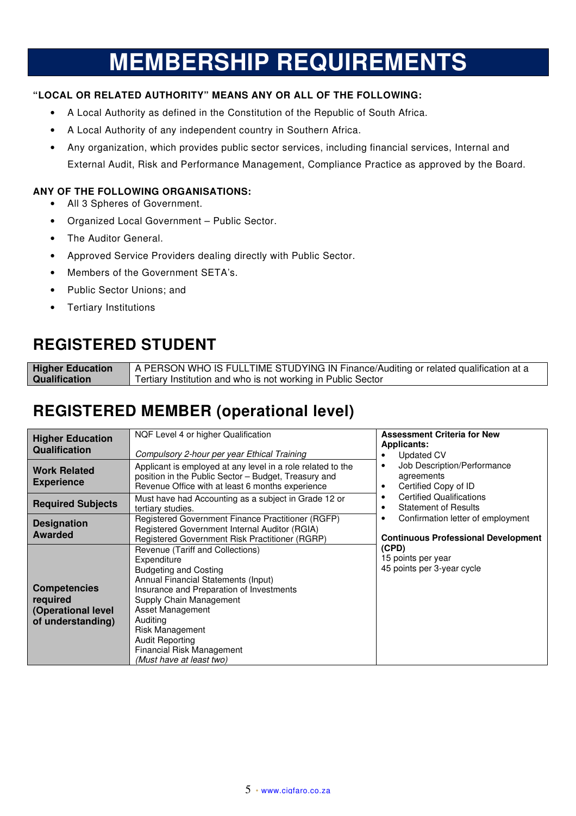# **MEMBERSHIP REQUIREMENTS**

### **"LOCAL OR RELATED AUTHORITY" MEANS ANY OR ALL OF THE FOLLOWING:**

- A Local Authority as defined in the Constitution of the Republic of South Africa.
- A Local Authority of any independent country in Southern Africa.
- Any organization, which provides public sector services, including financial services, Internal and External Audit, Risk and Performance Management, Compliance Practice as approved by the Board.

### **ANY OF THE FOLLOWING ORGANISATIONS:**

- All 3 Spheres of Government.
- Organized Local Government Public Sector.
- The Auditor General.
- Approved Service Providers dealing directly with Public Sector.
- Members of the Government SETA's.
- Public Sector Unions; and
- Tertiary Institutions

# **REGISTERED STUDENT**

**Higher Education Qualification** A PERSON WHO IS FULLTIME STUDYING IN Finance/Auditing or related qualification at a Tertiary Institution and who is not working in Public Sector

# **REGISTERED MEMBER (operational level)**

| <b>Higher Education</b><br>Qualification                                   | NQF Level 4 or higher Qualification                                                                                                                                                                                                                                                                                                 | <b>Assessment Criteria for New</b><br>Applicants:                                           |
|----------------------------------------------------------------------------|-------------------------------------------------------------------------------------------------------------------------------------------------------------------------------------------------------------------------------------------------------------------------------------------------------------------------------------|---------------------------------------------------------------------------------------------|
|                                                                            | Compulsory 2-hour per year Ethical Training                                                                                                                                                                                                                                                                                         | Updated CV                                                                                  |
| <b>Work Related</b><br><b>Experience</b>                                   | Applicant is employed at any level in a role related to the<br>position in the Public Sector - Budget, Treasury and<br>Revenue Office with at least 6 months experience                                                                                                                                                             | Job Description/Performance<br>$\bullet$<br>agreements<br>Certified Copy of ID<br>$\bullet$ |
| <b>Required Subjects</b>                                                   | Must have had Accounting as a subject in Grade 12 or<br>tertiary studies.                                                                                                                                                                                                                                                           | <b>Certified Qualifications</b><br>٠<br><b>Statement of Results</b>                         |
| <b>Designation</b><br><b>Awarded</b>                                       | Registered Government Finance Practitioner (RGFP)<br>Registered Government Internal Auditor (RGIA)<br>Registered Government Risk Practitioner (RGRP)                                                                                                                                                                                | Confirmation letter of employment<br>٠<br><b>Continuous Professional Development</b>        |
| <b>Competencies</b><br>required<br>(Operational level<br>of understanding) | Revenue (Tariff and Collections)<br>Expenditure<br><b>Budgeting and Costing</b><br>Annual Financial Statements (Input)<br>Insurance and Preparation of Investments<br>Supply Chain Management<br>Asset Management<br>Auditing<br>Risk Management<br><b>Audit Reporting</b><br>Financial Risk Management<br>(Must have at least two) | (CPD)<br>15 points per year<br>45 points per 3-year cycle                                   |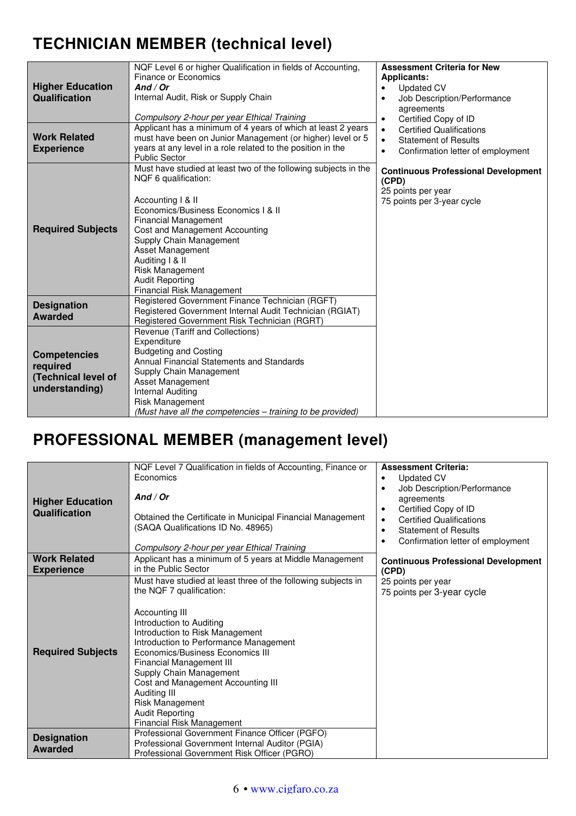# **TECHNICIAN MEMBER (technical level)**

| <b>Higher Education</b><br>Qualification                                 | NQF Level 6 or higher Qualification in fields of Accounting,<br>Finance or Economics<br>And / Or<br>Internal Audit, Risk or Supply Chain<br>Compulsory 2-hour per year Ethical Training                                                                                                                                                                                 | <b>Assessment Criteria for New</b><br><b>Applicants:</b><br><b>Updated CV</b><br>$\bullet$<br>Job Description/Performance<br>$\bullet$<br>agreements<br>Certified Copy of ID<br>$\bullet$ |
|--------------------------------------------------------------------------|-------------------------------------------------------------------------------------------------------------------------------------------------------------------------------------------------------------------------------------------------------------------------------------------------------------------------------------------------------------------------|-------------------------------------------------------------------------------------------------------------------------------------------------------------------------------------------|
| <b>Work Related</b><br><b>Experience</b>                                 | Applicant has a minimum of 4 years of which at least 2 years<br>must have been on Junior Management (or higher) level or 5<br>years at any level in a role related to the position in the<br><b>Public Sector</b>                                                                                                                                                       | <b>Certified Qualifications</b><br>$\bullet$<br><b>Statement of Results</b><br>$\bullet$<br>Confirmation letter of employment<br>$\bullet$                                                |
| <b>Required Subjects</b>                                                 | Must have studied at least two of the following subjects in the<br>NQF 6 qualification:<br>Accounting   & II<br>Economics/Business Economics I & II<br><b>Financial Management</b><br>Cost and Management Accounting<br>Supply Chain Management<br>Asset Management<br>Auditing I & II<br><b>Risk Management</b><br><b>Audit Reporting</b><br>Financial Risk Management | <b>Continuous Professional Development</b><br>(CPD)<br>25 points per year<br>75 points per 3-year cycle                                                                                   |
| <b>Designation</b><br><b>Awarded</b>                                     | Registered Government Finance Technician (RGFT)<br>Registered Government Internal Audit Technician (RGIAT)<br>Registered Government Risk Technician (RGRT)                                                                                                                                                                                                              |                                                                                                                                                                                           |
| <b>Competencies</b><br>required<br>(Technical level of<br>understanding) | Revenue (Tariff and Collections)<br>Expenditure<br><b>Budgeting and Costing</b><br>Annual Financial Statements and Standards<br>Supply Chain Management<br>Asset Management<br><b>Internal Auditing</b><br><b>Risk Management</b><br>(Must have all the competencies - training to be provided)                                                                         |                                                                                                                                                                                           |

# **PROFESSIONAL MEMBER (management level)**

| <b>Higher Education</b><br>Qualification | NQF Level 7 Qualification in fields of Accounting, Finance or<br>Economics<br>And / Or<br>Obtained the Certificate in Municipal Financial Management<br>(SAQA Qualifications ID No. 48965)<br>Compulsory 2-hour per year Ethical Training                                                                                                                                                                                                              | <b>Assessment Criteria:</b><br><b>Updated CV</b><br>$\bullet$<br>Job Description/Performance<br>agreements<br>Certified Copy of ID<br>$\bullet$<br><b>Certified Qualifications</b><br>$\bullet$<br><b>Statement of Results</b><br>$\bullet$<br>Confirmation letter of employment<br>٠ |
|------------------------------------------|--------------------------------------------------------------------------------------------------------------------------------------------------------------------------------------------------------------------------------------------------------------------------------------------------------------------------------------------------------------------------------------------------------------------------------------------------------|---------------------------------------------------------------------------------------------------------------------------------------------------------------------------------------------------------------------------------------------------------------------------------------|
| <b>Work Related</b><br><b>Experience</b> | Applicant has a minimum of 5 years at Middle Management<br>in the Public Sector                                                                                                                                                                                                                                                                                                                                                                        | <b>Continuous Professional Development</b><br>(CPD)                                                                                                                                                                                                                                   |
| <b>Required Subjects</b>                 | Must have studied at least three of the following subjects in<br>the NQF 7 qualification:<br>Accounting III<br>Introduction to Auditing<br>Introduction to Risk Management<br>Introduction to Performance Management<br>Economics/Business Economics III<br>Financial Management III<br>Supply Chain Management<br>Cost and Management Accounting III<br>Auditing III<br><b>Risk Management</b><br><b>Audit Reporting</b><br>Financial Risk Management | 25 points per year<br>75 points per 3-year cycle                                                                                                                                                                                                                                      |
| <b>Designation</b><br><b>Awarded</b>     | Professional Government Finance Officer (PGFO)<br>Professional Government Internal Auditor (PGIA)<br>Professional Government Risk Officer (PGRO)                                                                                                                                                                                                                                                                                                       |                                                                                                                                                                                                                                                                                       |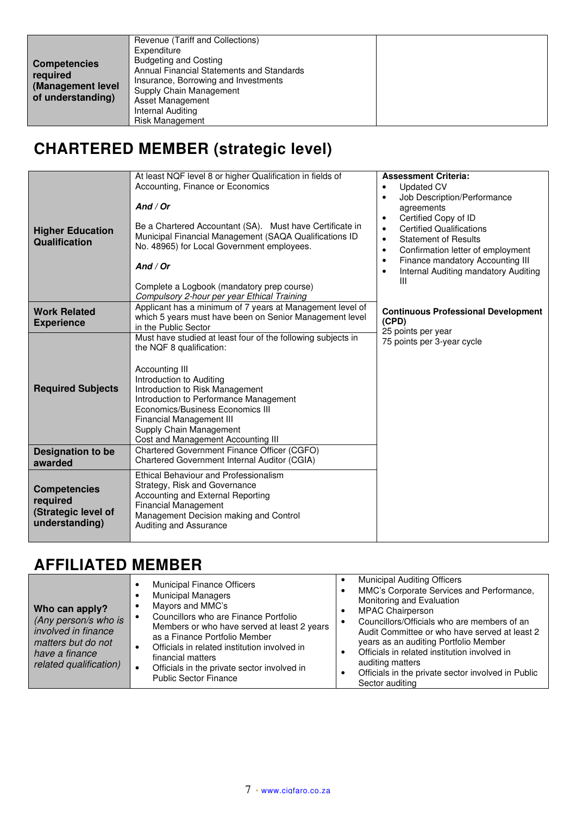| <b>Competencies</b><br>required<br>(Management level<br>of understanding) | Revenue (Tariff and Collections)<br>Expenditure<br><b>Budgeting and Costing</b><br>Annual Financial Statements and Standards<br>Insurance, Borrowing and Investments<br>Supply Chain Management<br>Asset Management<br>Internal Auditing<br><b>Risk Management</b> |  |
|---------------------------------------------------------------------------|--------------------------------------------------------------------------------------------------------------------------------------------------------------------------------------------------------------------------------------------------------------------|--|

# **CHARTERED MEMBER (strategic level)**

| <b>Higher Education</b><br>Qualification                                 | At least NQF level 8 or higher Qualification in fields of<br>Accounting, Finance or Economics<br>And / Or<br>Be a Chartered Accountant (SA). Must have Certificate in<br>Municipal Financial Management (SAQA Qualifications ID<br>No. 48965) for Local Government employees.<br>And / Or<br>Complete a Logbook (mandatory prep course)<br>Compulsory 2-hour per year Ethical Training | <b>Assessment Criteria:</b><br><b>Updated CV</b><br>$\bullet$<br>Job Description/Performance<br>$\bullet$<br>agreements<br>Certified Copy of ID<br>٠<br><b>Certified Qualifications</b><br>$\bullet$<br><b>Statement of Results</b><br>$\bullet$<br>Confirmation letter of employment<br>$\bullet$<br>Finance mandatory Accounting III<br>$\bullet$<br>Internal Auditing mandatory Auditing<br>$\bullet$<br>Ш |
|--------------------------------------------------------------------------|----------------------------------------------------------------------------------------------------------------------------------------------------------------------------------------------------------------------------------------------------------------------------------------------------------------------------------------------------------------------------------------|---------------------------------------------------------------------------------------------------------------------------------------------------------------------------------------------------------------------------------------------------------------------------------------------------------------------------------------------------------------------------------------------------------------|
| <b>Work Related</b><br><b>Experience</b>                                 | Applicant has a minimum of 7 years at Management level of<br>which 5 years must have been on Senior Management level<br>in the Public Sector                                                                                                                                                                                                                                           | <b>Continuous Professional Development</b><br>(CPD)<br>25 points per year                                                                                                                                                                                                                                                                                                                                     |
| <b>Required Subjects</b>                                                 | Must have studied at least four of the following subjects in<br>the NQF 8 qualification:<br>Accounting III<br>Introduction to Auditing<br>Introduction to Risk Management<br>Introduction to Performance Management<br>Economics/Business Economics III<br>Financial Management III<br>Supply Chain Management<br>Cost and Management Accounting III                                   | 75 points per 3-year cycle                                                                                                                                                                                                                                                                                                                                                                                    |
| <b>Designation to be</b><br>awarded                                      | Chartered Government Finance Officer (CGFO)<br>Chartered Government Internal Auditor (CGIA)                                                                                                                                                                                                                                                                                            |                                                                                                                                                                                                                                                                                                                                                                                                               |
| <b>Competencies</b><br>required<br>(Strategic level of<br>understanding) | Ethical Behaviour and Professionalism<br>Strategy, Risk and Governance<br>Accounting and External Reporting<br><b>Financial Management</b><br>Management Decision making and Control<br>Auditing and Assurance                                                                                                                                                                         |                                                                                                                                                                                                                                                                                                                                                                                                               |

# **AFFILIATED MEMBER**

| Who can apply?<br>(Any person/s who is<br>involved in finance<br>matters but do not<br>have a finance<br>related qualification) | <b>Municipal Finance Officers</b><br><b>Municipal Managers</b><br>Mayors and MMC's<br>Councillors who are Finance Portfolio<br>Members or who have served at least 2 years<br>as a Finance Portfolio Member<br>Officials in related institution involved in<br>financial matters<br>Officials in the private sector involved in<br><b>Public Sector Finance</b> | <b>Municipal Auditing Officers</b><br>MMC's Corporate Services and Performance,<br>Monitoring and Evaluation<br><b>MPAC Chairperson</b><br>Councillors/Officials who are members of an<br>Audit Committee or who have served at least 2<br>years as an auditing Portfolio Member<br>Officials in related institution involved in<br>auditing matters<br>Officials in the private sector involved in Public<br>Sector auditing |
|---------------------------------------------------------------------------------------------------------------------------------|-----------------------------------------------------------------------------------------------------------------------------------------------------------------------------------------------------------------------------------------------------------------------------------------------------------------------------------------------------------------|-------------------------------------------------------------------------------------------------------------------------------------------------------------------------------------------------------------------------------------------------------------------------------------------------------------------------------------------------------------------------------------------------------------------------------|
|---------------------------------------------------------------------------------------------------------------------------------|-----------------------------------------------------------------------------------------------------------------------------------------------------------------------------------------------------------------------------------------------------------------------------------------------------------------------------------------------------------------|-------------------------------------------------------------------------------------------------------------------------------------------------------------------------------------------------------------------------------------------------------------------------------------------------------------------------------------------------------------------------------------------------------------------------------|